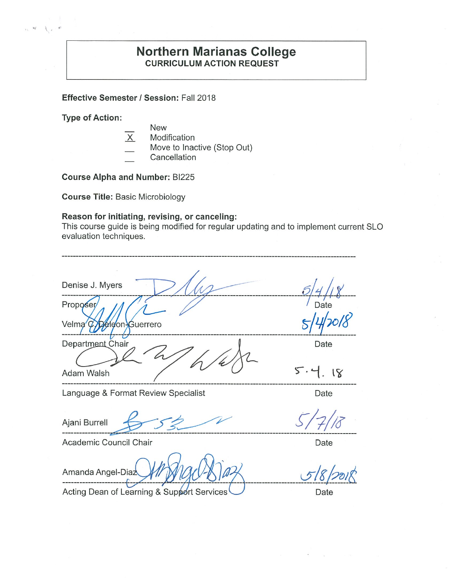#### **Northern Marianas College CURRICULUM ACTION REQUEST**

**Effective Semester I Session:** Fall 2018

**Type of Action:** 

- New
- X Modification
- Move to Inactive (Stop Out)
- Cancellation

**Course Alpha and Number:** BI225

**Course Title:** Basic Microbiology

#### **Reason for initiating, revising, or canceling:**

This course guide is being modified for regular updating and to implement current SLO evaluation techniques.

| Denise J. Myers<br>Proposer/<br>Velma $\varphi$<br><b>Déleon-Guerrero</b> | Date              |  |
|---------------------------------------------------------------------------|-------------------|--|
| Department Chair<br>Adam Walsh                                            | Date<br>5.4<br>18 |  |
| Language & Format Review Specialist                                       | Date              |  |
| Ajani Burrell                                                             |                   |  |
| Academic Council Chair                                                    | Date              |  |
| Amanda Angel-Diaz                                                         |                   |  |

Acting Dean of Learning & Support Services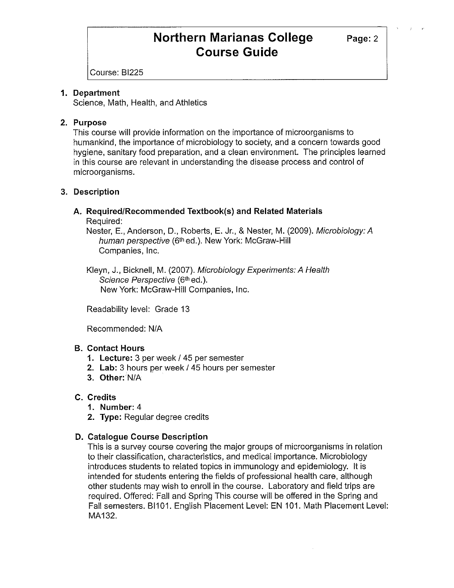## **Northern Marianas College** Page: 2 **Course Guide**

Course: BI225

#### **1. Department**

Science, Math, Health, and Athletics

#### **2. Purpose**

This course will provide information on the importance of microorganisms to humankind, the importance of microbiology to society, and a concern towards good hygiene, sanitary food preparation, and a clean environment. The principles learned in this course are relevant in understanding the disease process and control of microorganisms.

#### **3. Description**

### **A. Required/Recommended Textbook(s) and Related Materials**

Required:

Nester, E., Anderson, D., Roberts, E. Jr., & Nester, M. (2009). Microbiology: A human perspective (6<sup>th</sup> ed.). New York: McGraw-Hill Companies, Inc.

Kleyn, J., Bicknell, M. (2007). Microbiology Experiments: A Health Science Perspective (6th ed.). New York: McGraw-Hill Companies, Inc.

Readability level: Grade 13

Recommended: N/A

#### **B. Contact Hours**

- **1. Lecture:** 3 per week/ 45 per semester
- 2. Lab: 3 hours per week / 45 hours per semester
- **3. Other:** N/A

#### **C. Credits**

- **1. Number:** 4
- **2. Type:** Regular degree credits

#### **D. Catalogue Course Description**

This is a survey course covering the major groups of microorganisms in relation to their classification, characteristics, and medical importance. Microbiology introduces students to related topics in immunology and epidemiology. It is intended for students entering the fields of professional health care, although other students may wish to enroll in the course. Laboratory and field trips are required. Offered: Fall and Spring This course will be offered in the Spring and Fall semesters. BI101. English Placement Level: EN 101. Math Placement Level: MA132.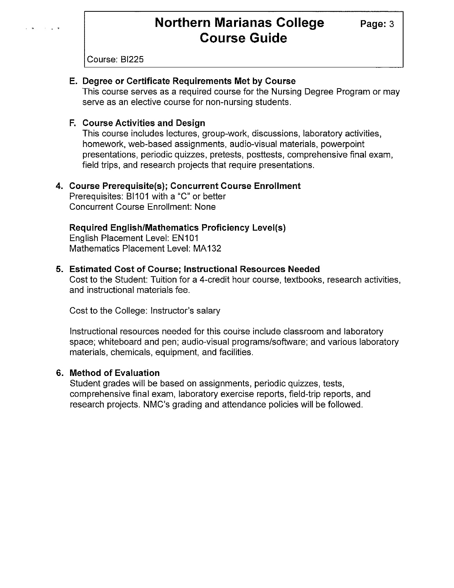# **Northern Marianas College** Page: 3<br>Course Guide

Course: BI225

#### **E. Degree or Certificate Requirements Met by Course**

This course serves as a required course for the Nursing Degree Program or may serve as an elective course for non-nursing students.

#### **F. Course Activities and Design**

This course includes lectures, group-work, discussions, laboratory activities, homework, web-based assignments, audio-visual materials, powerpoint presentations, periodic quizzes, pretests, posttests, comprehensive final exam, field trips, and research projects that require presentations.

#### **4. Course Prerequisite(s); Concurrent Course Enrollment**

Prerequisites: BI101 with a "C" or better Concurrent Course Enrollment: None

#### **Required English/Mathematics Proficiency Level(s)**

English Placement Level: EN101 Mathematics Placement Level: MA132

#### **5. Estimated Cost of Course; Instructional Resources Needed**

Cost to the Student: Tuition for a 4-credit hour course, textbooks, research activities, and instructional materials fee.

Cost to the College: Instructor's salary

Instructional resources needed for this course include classroom and laboratory space; whiteboard and pen; audio-visual programs/software; and various laboratory materials, chemicals, equipment, and facilities.

#### **6. Method of Evaluation**

Student grades will be based on assignments, periodic quizzes, tests, comprehensive final exam, laboratory exercise reports, field-trip reports, and research projects. NMC's grading and attendance policies will be followed.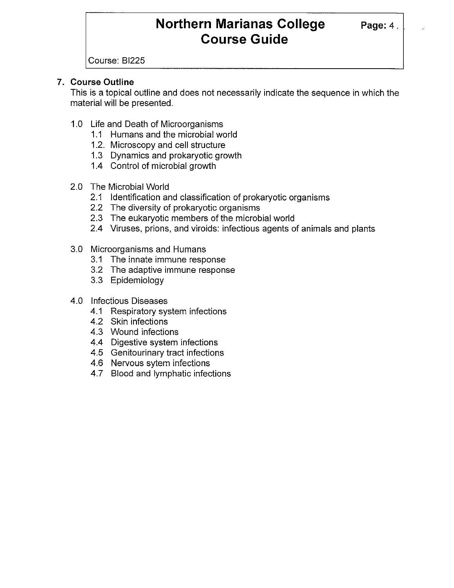## **Northern Marianas College Page: 4. Course Guide**

Course: BI225

#### **7. Course Outline**

This is a topical outline and does not necessarily indicate the sequence in which the material will be presented.

- 1.0 Life and Death of Microorganisms
	- 1.1 Humans and the microbial world
	- 1.2. Microscopy and cell structure
	- 1.3 Dynamics and prokaryotic growth
	- 1.4 Control of microbial growth
- 2.0 The Microbial World
	- 2.1 Identification and classification of prokaryotic organisms
	- 2.2 The diversity of prokaryotic organisms
	- 2.3 The eukaryotic members of the microbial world
	- 2.4 Viruses, prions, and viroids: infectious agents of animals and plants
- 3.0 Microorganisms and Humans
	- 3.1 The innate immune response
	- 3.2 The adaptive immune response
	- 3.3 Epidemiology
- 4.0 Infectious Diseases
	- 4.1 Respiratory system infections
	- 4.2 Skin infections
	- 4.3 Wound infections
	- 4.4 Digestive system infections
	- 4.5 Genitourinary tract infections
	- 4.6 Nervous sytem infections
	- 4.7 Blood and lymphatic infections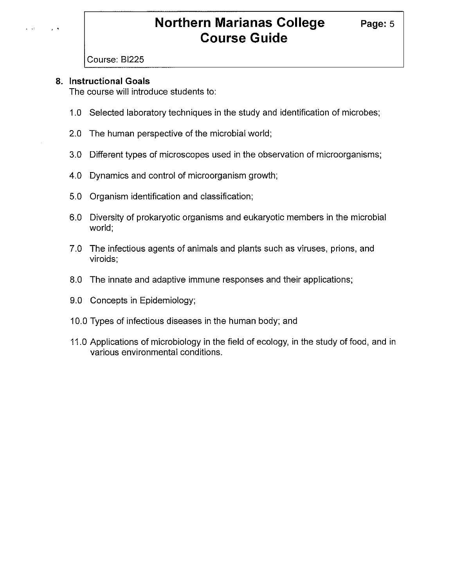## **Northern Marianas College Page: 5 Course Guide**

#### Course: BI225

#### **8. Instructional Goals**

The course will introduce students to:

- 1.0 Selected laboratory techniques in the study and identification of microbes;
- 2.0 The human perspective of the microbial world;
- 3.0 Different types of microscopes used in the observation of microorganisms;
- 4.0 Dynamics and control of microorganism growth;
- 5.0 Organism identification and classification;
- 6.0 Diversity of prokaryotic organisms and eukaryotic members in the microbial world;
- 7.0 The infectious agents of animals and plants such as viruses, prions, and viroids;
- 8.0 The innate and adaptive immune responses and their applications;
- 9.0 Concepts in Epidemiology;
- 10.0 Types of infectious diseases in the human body; and
- 11.0 Applications of microbiology in the field of ecology, in the study of food, and in various environmental conditions.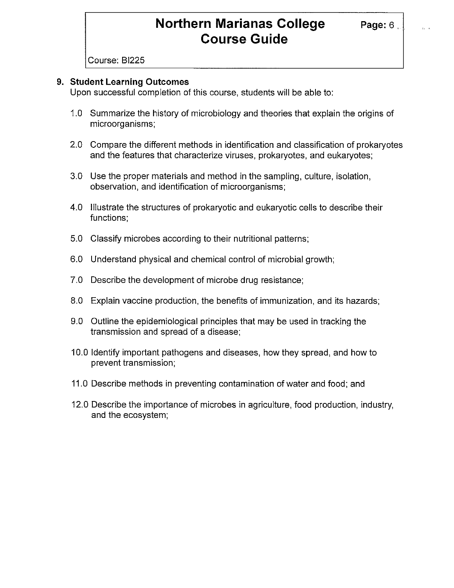## **Northern Marianas College Page: 6. Course Guide**

Course: BI225

#### **9. Student Learning Outcomes**

Upon successful completion of this course, students will be able to:

- 1.0 Summarize the history of microbiology and theories that explain the origins of microorganisms;
- 2.0 Compare the different methods in identification and classification of prokaryotes and the features that characterize viruses, prokaryotes, and eukaryotes;
- 3.0 Use the proper materials and method in the sampling, culture, isolation, observation, and identification of microorganisms;
- 4.0 Illustrate the structures of prokaryotic and eukaryotic cells to describe their functions;
- 5.0 Classify microbes according to their nutritional patterns;
- 6.0 Understand physical and chemical control of microbial growth;
- 7.0 Describe the development of microbe drug resistance;
- 8.0 Explain vaccine production, the benefits of immunization, and its hazards;
- 9.0 Outline the epidemiological principles that may be used in tracking the transmission and spread of a disease;
- 10.0 Identify important pathogens and diseases, how they spread, and how to prevent transmission;
- 11.0 Describe methods in preventing contamination of water and food; and
- 12.0 Describe the importance of microbes in agriculture, food production, industry, and the ecosystem;